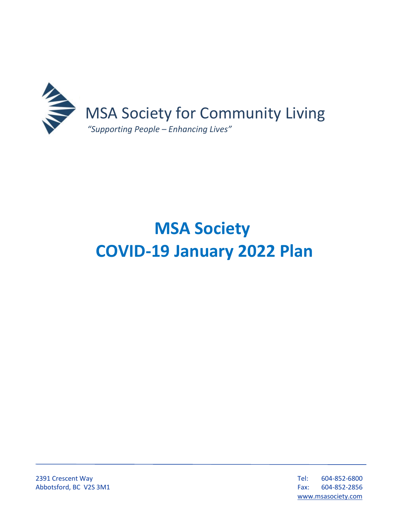

# **MSA Society COVID-19 January 2022 Plan**

2391 Crescent Way Tel: 604-852-6800 Abbotsford, BC V2S 3M1 Fax: 604-852-2856

[www.msasociety.com](http://www.msasociety.com/)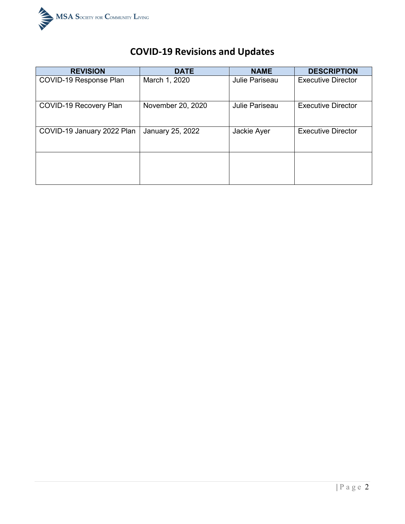

# **COVID-19 Revisions and Updates**

| <b>REVISION</b>            | <b>DATE</b>       | <b>NAME</b>           | <b>DESCRIPTION</b>        |
|----------------------------|-------------------|-----------------------|---------------------------|
| COVID-19 Response Plan     | March 1, 2020     | <b>Julie Pariseau</b> | <b>Executive Director</b> |
| COVID-19 Recovery Plan     | November 20, 2020 | <b>Julie Pariseau</b> | <b>Executive Director</b> |
| COVID-19 January 2022 Plan | January 25, 2022  | Jackie Ayer           | <b>Executive Director</b> |
|                            |                   |                       |                           |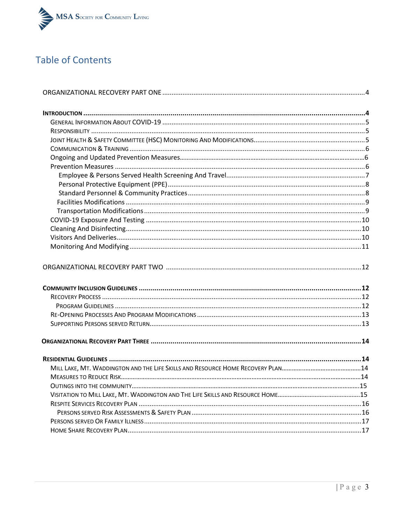

### **Table of Contents**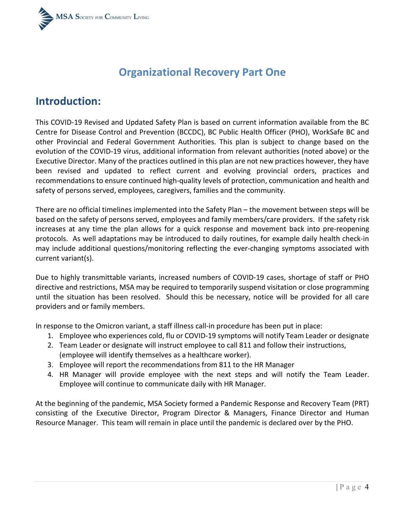

# **Organizational Recovery Part One**

### **Introduction:**

This COVID-19 Revised and Updated Safety Plan is based on current information available from the BC Centre for Disease Control and Prevention (BCCDC), BC Public Health Officer (PHO), WorkSafe BC and other Provincial and Federal Government Authorities. This plan is subject to change based on the evolution of the COVID-19 virus, additional information from relevant authorities (noted above) or the Executive Director. Many of the practices outlined in this plan are not new practices however, they have been revised and updated to reflect current and evolving provincial orders, practices and recommendations to ensure continued high-quality levels of protection, communication and health and safety of persons served, employees, caregivers, families and the community.

There are no official timelines implemented into the Safety Plan – the movement between steps will be based on the safety of persons served, employees and family members/care providers. If the safety risk increases at any time the plan allows for a quick response and movement back into pre-reopening protocols. As well adaptations may be introduced to daily routines, for example daily health check-in may include additional questions/monitoring reflecting the ever-changing symptoms associated with current variant(s).

Due to highly transmittable variants, increased numbers of COVID-19 cases, shortage of staff or PHO directive and restrictions, MSA may be required to temporarily suspend visitation or close programming until the situation has been resolved. Should this be necessary, notice will be provided for all care providers and or family members.

In response to the Omicron variant, a staff illness call-in procedure has been put in place:

- 1. Employee who experiences cold, flu or COVID-19 symptoms will notify Team Leader or designate
- 2. Team Leader or designate will instruct employee to call 811 and follow their instructions, (employee will identify themselves as a healthcare worker).
- 3. Employee will report the recommendations from 811 to the HR Manager
- 4. HR Manager will provide employee with the next steps and will notify the Team Leader. Employee will continue to communicate daily with HR Manager.

At the beginning of the pandemic, MSA Society formed a Pandemic Response and Recovery Team (PRT) consisting of the Executive Director, Program Director & Managers, Finance Director and Human Resource Manager. This team will remain in place until the pandemic is declared over by the PHO.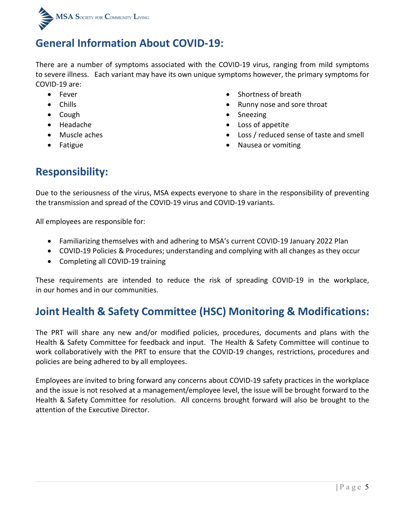

### **General Information About COVID-19:**

There are a number of symptoms associated with the COVID-19 virus, ranging from mild symptoms to severe illness. Each variant may have its own unique symptoms however, the primary symptoms for COVID-19 are:

- Fever
- Chills
- Cough
- Headache
- Muscle aches
- Fatigue
- Shortness of breath
- Runny nose and sore throat
- **Sneezing**
- Loss of appetite
- Loss / reduced sense of taste and smell
- Nausea or vomiting

# **Responsibility:**

Due to the seriousness of the virus, MSA expects everyone to share in the responsibility of preventing the transmission and spread of the COVID-19 virus and COVID-19 variants.

All employees are responsible for:

- Familiarizing themselves with and adhering to MSA's current COVID-19 January 2022 Plan
- COVID-19 Policies & Procedures; understanding and complying with all changes as they occur
- Completing all COVID-19 training

These requirements are intended to reduce the risk of spreading COVID-19 in the workplace, in our homes and in our communities.

# **Joint Health & Safety Committee (HSC) Monitoring & Modifications:**

The PRT will share any new and/or modified policies, procedures, documents and plans with the Health & Safety Committee for feedback and input. The Health & Safety Committee will continue to work collaboratively with the PRT to ensure that the COVID-19 changes, restrictions, procedures and policies are being adhered to by all employees.

Employees are invited to bring forward any concerns about COVID-19 safety practices in the workplace and the issue is not resolved at a management/employee level, the issue will be brought forward to the Health & Safety Committee for resolution. All concerns brought forward will also be brought to the attention of the Executive Director.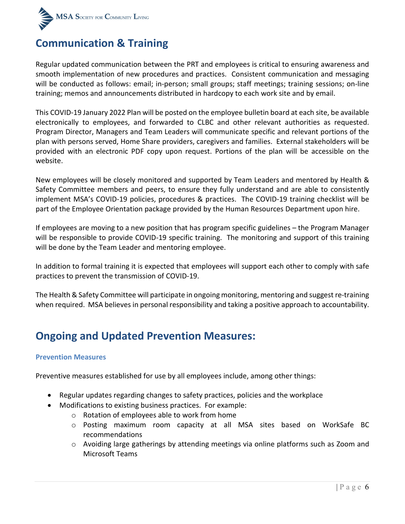

### **Communication & Training**

Regular updated communication between the PRT and employees is critical to ensuring awareness and smooth implementation of new procedures and practices. Consistent communication and messaging will be conducted as follows: email; in-person; small groups; staff meetings; training sessions; on-line training; memos and announcements distributed in hardcopy to each work site and by email.

This COVID-19 January 2022 Plan will be posted on the employee bulletin board at each site, be available electronically to employees, and forwarded to CLBC and other relevant authorities as requested. Program Director, Managers and Team Leaders will communicate specific and relevant portions of the plan with persons served, Home Share providers, caregivers and families. External stakeholders will be provided with an electronic PDF copy upon request. Portions of the plan will be accessible on the website.

New employees will be closely monitored and supported by Team Leaders and mentored by Health & Safety Committee members and peers, to ensure they fully understand and are able to consistently implement MSA's COVID-19 policies, procedures & practices. The COVID-19 training checklist will be part of the Employee Orientation package provided by the Human Resources Department upon hire.

If employees are moving to a new position that has program specific guidelines – the Program Manager will be responsible to provide COVID-19 specific training. The monitoring and support of this training will be done by the Team Leader and mentoring employee.

In addition to formal training it is expected that employees will support each other to comply with safe practices to prevent the transmission of COVID-19.

The Health & Safety Committee will participate in ongoing monitoring, mentoring and suggest re-training when required. MSA believes in personal responsibility and taking a positive approach to accountability.

### **Ongoing and Updated Prevention Measures:**

#### **Prevention Measures**

Preventive measures established for use by all employees include, among other things:

- Regular updates regarding changes to safety practices, policies and the workplace
- Modifications to existing business practices. For example:
	- o Rotation of employees able to work from home
	- o Posting maximum room capacity at all MSA sites based on WorkSafe BC recommendations
	- o Avoiding large gatherings by attending meetings via online platforms such as Zoom and Microsoft Teams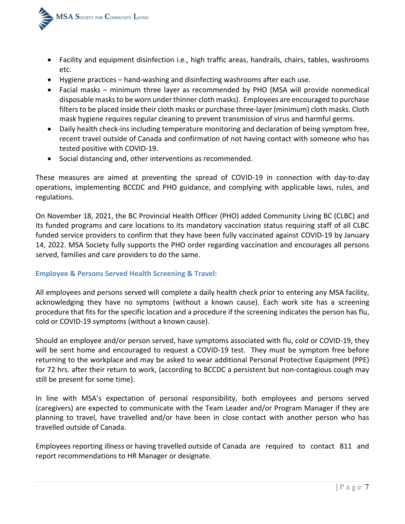

- Facility and equipment disinfection i.e., high traffic areas, handrails, chairs, tables, washrooms etc.
- Hygiene practices hand-washing and disinfecting washrooms after each use.
- Facial masks minimum three layer as recommended by PHO (MSA will provide nonmedical disposable masksto be worn under thinner cloth masks). Employees are encouraged to purchase filters to be placed inside their cloth masks or purchase three-layer (minimum) cloth masks. Cloth mask hygiene requires regular cleaning to prevent transmission of virus and harmful germs.
- Daily health check-ins including temperature monitoring and declaration of being symptom free, recent travel outside of Canada and confirmation of not having contact with someone who has tested positive with COVID-19.
- Social distancing and, other interventions as recommended.

These measures are aimed at preventing the spread of COVID-19 in connection with day-to-day operations, implementing BCCDC and PHO guidance, and complying with applicable laws, rules, and regulations.

On November 18, 2021, the BC Provincial Health Officer (PHO) added Community Living BC (CLBC) and its funded programs and care locations to its mandatory vaccination status requiring staff of all CLBC funded service providers to confirm that they have been fully vaccinated against COVID-19 by January 14, 2022. MSA Society fully supports the PHO order regarding vaccination and encourages all persons served, families and care providers to do the same.

#### **Employee & Persons Served Health Screening & Travel:**

All employees and persons served will complete a daily health check prior to entering any MSA facility, acknowledging they have no symptoms (without a known cause). Each work site has a screening procedure that fits for the specific location and a procedure if the screening indicates the person has flu, cold or COVID-19 symptoms (without a known cause).

Should an employee and/or person served, have symptoms associated with flu, cold or COVID-19, they will be sent home and encouraged to request a COVID-19 test. They must be symptom free before returning to the workplace and may be asked to wear additional Personal Protective Equipment (PPE) for 72 hrs. after their return to work, (according to BCCDC a persistent but non-contagious cough may still be present for some time).

In line with MSA's expectation of personal responsibility, both employees and persons served (caregivers) are expected to communicate with the Team Leader and/or Program Manager if they are planning to travel, have travelled and/or have been in close contact with another person who has travelled outside of Canada.

Employees reporting illness or having travelled outside of Canada are required to contact 811 and report recommendations to HR Manager or designate.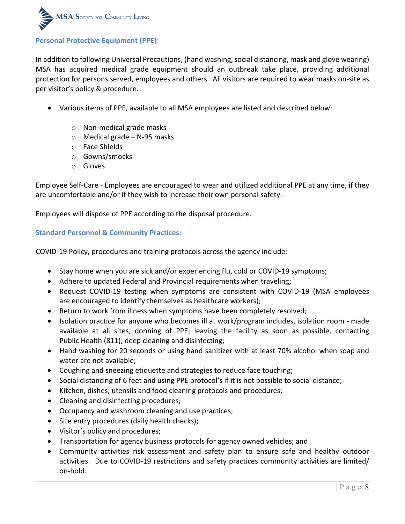

#### **Personal Protective Equipment (PPE):**

In addition to following Universal Precautions, (hand washing, social distancing, mask and glove wearing) MSA has acquired medical grade equipment should an outbreak take place, providing additional protection for persons served, employees and others. All visitors are required to wear masks on-site as per visitor's policy & procedure.

- Various items of PPE, available to all MSA employees are listed and described below:
	- o Non-medical grade masks
	- $\circ$  Medical grade N-95 masks
	- o Face Shields
	- o Gowns/smocks
	- o Gloves

Employee Self-Care - Employees are encouraged to wear and utilized additional PPE at any time, if they are uncomfortable and/or if they wish to increase their own personal safety.

Employees will dispose of PPE according to the disposal procedure.

#### **Standard Personnel & Community Practices:**

COVID-19 Policy, procedures and training protocols across the agency include:

- Stay home when you are sick and/or experiencing flu, cold or COVID-19 symptoms;
- Adhere to updated Federal and Provincial requirements when traveling;
- Request COVID-19 testing when symptoms are consistent with COVID-19 (MSA employees are encouraged to identify themselves as healthcare workers);
- Return to work from illness when symptoms have been completely resolved;
- Isolation practice for anyone who becomes ill at work/program includes, isolation room made available at all sites, donning of PPE; leaving the facility as soon as possible, contacting Public Health (811); deep cleaning and disinfecting;
- Hand washing for 20 seconds or using hand sanitizer with at least 70% alcohol when soap and water are not available;
- Coughing and sneezing etiquette and strategies to reduce face touching;
- Social distancing of 6 feet and using PPE protocol's if it is not possible to social distance;
- Kitchen, dishes, utensils and food cleaning protocols and procedures;
- Cleaning and disinfecting procedures;
- Occupancy and washroom cleaning and use practices;
- Site entry procedures (daily health checks);
- Visitor's policy and procedures;
- Transportation for agency business protocols for agency owned vehicles; and
- Community activities risk assessment and safety plan to ensure safe and healthy outdoor activities. Due to COVID-19 restrictions and safety practices community activities are limited/ on-hold.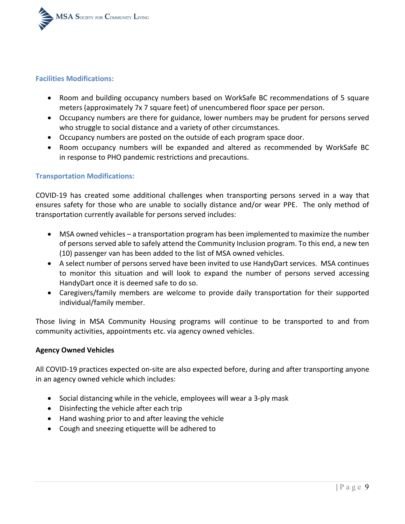

#### **Facilities Modifications:**

- Room and building occupancy numbers based on WorkSafe BC recommendations of 5 square meters (approximately 7x 7 square feet) of unencumbered floor space per person.
- Occupancy numbers are there for guidance, lower numbers may be prudent for persons served who struggle to social distance and a variety of other circumstances.
- Occupancy numbers are posted on the outside of each program space door.
- Room occupancy numbers will be expanded and altered as recommended by WorkSafe BC in response to PHO pandemic restrictions and precautions.

#### **Transportation Modifications:**

COVID-19 has created some additional challenges when transporting persons served in a way that ensures safety for those who are unable to socially distance and/or wear PPE. The only method of transportation currently available for persons served includes:

- MSA owned vehicles a transportation program has been implemented to maximize the number of persons served able to safely attend the Community Inclusion program. To this end, a new ten (10) passenger van has been added to the list of MSA owned vehicles.
- A select number of persons served have been invited to use HandyDart services. MSA continues to monitor this situation and will look to expand the number of persons served accessing HandyDart once it is deemed safe to do so.
- Caregivers/family members are welcome to provide daily transportation for their supported individual/family member.

Those living in MSA Community Housing programs will continue to be transported to and from community activities, appointments etc. via agency owned vehicles.

#### **Agency Owned Vehicles**

All COVID-19 practices expected on-site are also expected before, during and after transporting anyone in an agency owned vehicle which includes:

- Social distancing while in the vehicle, employees will wear a 3-ply mask
- Disinfecting the vehicle after each trip
- Hand washing prior to and after leaving the vehicle
- Cough and sneezing etiquette will be adhered to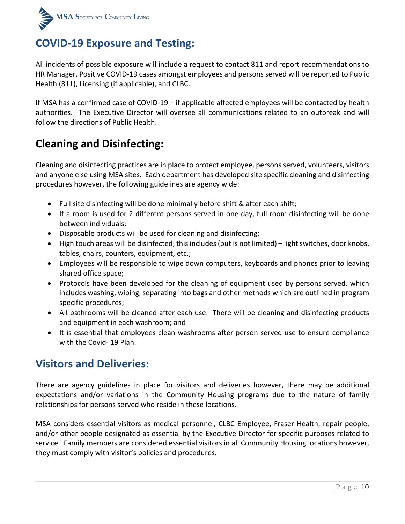

### **COVID-19 Exposure and Testing:**

All incidents of possible exposure will include a request to contact 811 and report recommendations to HR Manager. Positive COVID-19 cases amongst employees and persons served will be reported to Public Health (811), Licensing (if applicable), and CLBC.

If MSA has a confirmed case of COVID-19 – if applicable affected employees will be contacted by health authorities. The Executive Director will oversee all communications related to an outbreak and will follow the directions of Public Health.

# **Cleaning and Disinfecting:**

Cleaning and disinfecting practices are in place to protect employee, persons served, volunteers, visitors and anyone else using MSA sites. Each department has developed site specific cleaning and disinfecting procedures however, the following guidelines are agency wide:

- Full site disinfecting will be done minimally before shift & after each shift;
- If a room is used for 2 different persons served in one day, full room disinfecting will be done between individuals;
- Disposable products will be used for cleaning and disinfecting;
- High touch areas will be disinfected, this includes(but is not limited) light switches, door knobs, tables, chairs, counters, equipment, etc.;
- Employees will be responsible to wipe down computers, keyboards and phones prior to leaving shared office space;
- Protocols have been developed for the cleaning of equipment used by persons served, which includes washing, wiping, separating into bags and other methods which are outlined in program specific procedures;
- All bathrooms will be cleaned after each use. There will be cleaning and disinfecting products and equipment in each washroom; and
- It is essential that employees clean washrooms after person served use to ensure compliance with the Covid- 19 Plan.

### **Visitors and Deliveries:**

There are agency guidelines in place for visitors and deliveries however, there may be additional expectations and/or variations in the Community Housing programs due to the nature of family relationships for persons served who reside in these locations.

MSA considers essential visitors as medical personnel, CLBC Employee, Fraser Health, repair people, and/or other people designated as essential by the Executive Director for specific purposes related to service. Family members are considered essential visitors in all Community Housing locations however, they must comply with visitor's policies and procedures.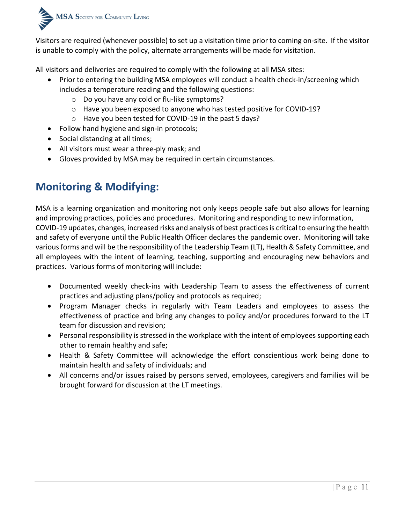

Visitors are required (whenever possible) to set up a visitation time prior to coming on-site. If the visitor is unable to comply with the policy, alternate arrangements will be made for visitation.

All visitors and deliveries are required to comply with the following at all MSA sites:

- Prior to entering the building MSA employees will conduct a health check-in/screening which includes a temperature reading and the following questions:
	- o Do you have any cold or flu-like symptoms?
	- o Have you been exposed to anyone who has tested positive for COVID-19?
	- o Have you been tested for COVID-19 in the past 5 days?
- Follow hand hygiene and sign-in protocols;
- Social distancing at all times;
- All visitors must wear a three-ply mask; and
- Gloves provided by MSA may be required in certain circumstances.

### **Monitoring & Modifying:**

MSA is a learning organization and monitoring not only keeps people safe but also allows for learning and improving practices, policies and procedures. Monitoring and responding to new information, COVID-19 updates, changes, increased risks and analysis of best practices is critical to ensuring the health and safety of everyone until the Public Health Officer declares the pandemic over. Monitoring will take various forms and will be the responsibility of the Leadership Team (LT), Health & Safety Committee, and all employees with the intent of learning, teaching, supporting and encouraging new behaviors and practices. Various forms of monitoring will include:

- Documented weekly check-ins with Leadership Team to assess the effectiveness of current practices and adjusting plans/policy and protocols as required;
- Program Manager checks in regularly with Team Leaders and employees to assess the effectiveness of practice and bring any changes to policy and/or procedures forward to the LT team for discussion and revision;
- Personal responsibility is stressed in the workplace with the intent of employees supporting each other to remain healthy and safe;
- Health & Safety Committee will acknowledge the effort conscientious work being done to maintain health and safety of individuals; and
- All concerns and/or issues raised by persons served, employees, caregivers and families will be brought forward for discussion at the LT meetings.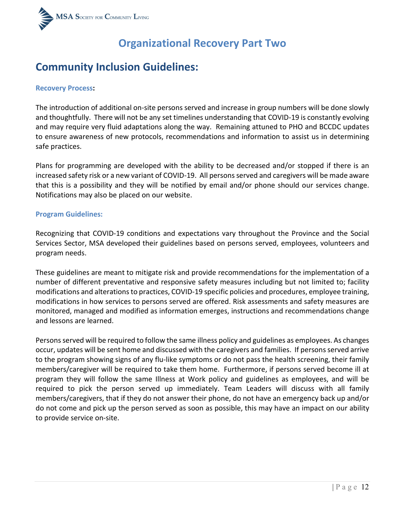

### **Organizational Recovery Part Two**

### **Community Inclusion Guidelines:**

#### **Recovery Process:**

The introduction of additional on-site persons served and increase in group numbers will be done slowly and thoughtfully. There will not be any set timelines understanding that COVID-19 is constantly evolving and may require very fluid adaptations along the way. Remaining attuned to PHO and BCCDC updates to ensure awareness of new protocols, recommendations and information to assist us in determining safe practices.

Plans for programming are developed with the ability to be decreased and/or stopped if there is an increased safety risk or a new variant of COVID-19. All persons served and caregivers will be made aware that this is a possibility and they will be notified by email and/or phone should our services change. Notifications may also be placed on our website.

#### **Program Guidelines:**

Recognizing that COVID-19 conditions and expectations vary throughout the Province and the Social Services Sector, MSA developed their guidelines based on persons served, employees, volunteers and program needs.

These guidelines are meant to mitigate risk and provide recommendations for the implementation of a number of different preventative and responsive safety measures including but not limited to; facility modifications and alterations to practices, COVID-19 specific policies and procedures, employee training, modifications in how services to persons served are offered. Risk assessments and safety measures are monitored, managed and modified as information emerges, instructions and recommendations change and lessons are learned.

Persons served will be required to follow the same illness policy and guidelines as employees. As changes occur, updates will be sent home and discussed with the caregivers and families. If persons served arrive to the program showing signs of any flu-like symptoms or do not pass the health screening, their family members/caregiver will be required to take them home. Furthermore, if persons served become ill at program they will follow the same Illness at Work policy and guidelines as employees, and will be required to pick the person served up immediately. Team Leaders will discuss with all family members/caregivers, that if they do not answer their phone, do not have an emergency back up and/or do not come and pick up the person served as soon as possible, this may have an impact on our ability to provide service on-site.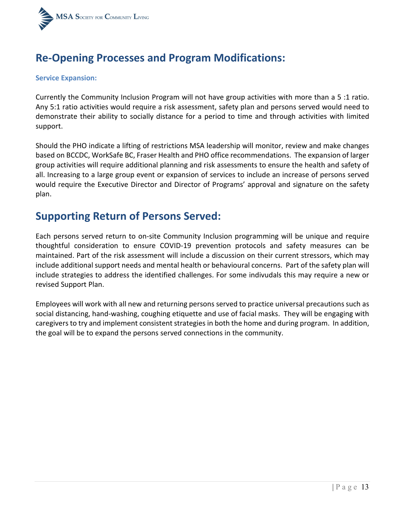

### **Re-Opening Processes and Program Modifications:**

#### **Service Expansion:**

Currently the Community Inclusion Program will not have group activities with more than a 5 :1 ratio. Any 5:1 ratio activities would require a risk assessment, safety plan and persons served would need to demonstrate their ability to socially distance for a period to time and through activities with limited support.

Should the PHO indicate a lifting of restrictions MSA leadership will monitor, review and make changes based on BCCDC, WorkSafe BC, Fraser Health and PHO office recommendations. The expansion of larger group activities will require additional planning and risk assessments to ensure the health and safety of all. Increasing to a large group event or expansion of services to include an increase of persons served would require the Executive Director and Director of Programs' approval and signature on the safety plan.

### **Supporting Return of Persons Served:**

Each persons served return to on-site Community Inclusion programming will be unique and require thoughtful consideration to ensure COVID-19 prevention protocols and safety measures can be maintained. Part of the risk assessment will include a discussion on their current stressors, which may include additional support needs and mental health or behavioural concerns. Part of the safety plan will include strategies to address the identified challenges. For some indivudals this may require a new or revised Support Plan.

Employees will work with all new and returning persons served to practice universal precautions such as social distancing, hand-washing, coughing etiquette and use of facial masks. They will be engaging with caregivers to try and implement consistent strategies in both the home and during program. In addition, the goal will be to expand the persons served connections in the community.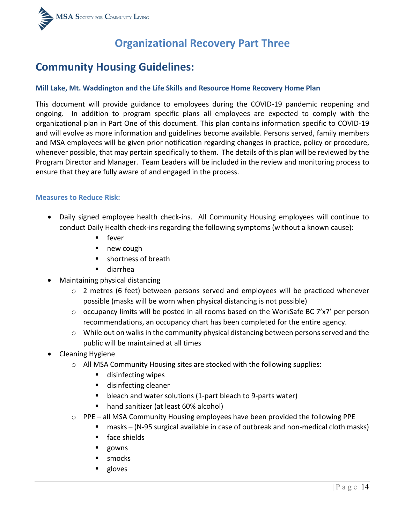

### **Organizational Recovery Part Three**

### **Community Housing Guidelines:**

#### **Mill Lake, Mt. Waddington and the Life Skills and Resource Home Recovery Home Plan**

This document will provide guidance to employees during the COVID-19 pandemic reopening and ongoing. In addition to program specific plans all employees are expected to comply with the organizational plan in Part One of this document. This plan contains information specific to COVID-19 and will evolve as more information and guidelines become available. Persons served, family members and MSA employees will be given prior notification regarding changes in practice, policy or procedure, whenever possible, that may pertain specifically to them. The details of this plan will be reviewed by the Program Director and Manager. Team Leaders will be included in the review and monitoring process to ensure that they are fully aware of and engaged in the process.

#### **Measures to Reduce Risk:**

- Daily signed employee health check-ins. All Community Housing employees will continue to conduct Daily Health check-ins regarding the following symptoms (without a known cause):
	- **Fever**
	- **new cough**
	- **shortness of breath**
	- diarrhea
- Maintaining physical distancing
	- o 2 metres (6 feet) between persons served and employees will be practiced whenever possible (masks will be worn when physical distancing is not possible)
	- $\circ$  occupancy limits will be posted in all rooms based on the WorkSafe BC 7'x7' per person recommendations, an occupancy chart has been completed for the entire agency.
	- $\circ$  While out on walks in the community physical distancing between persons served and the public will be maintained at all times
- Cleaning Hygiene
	- $\circ$  All MSA Community Housing sites are stocked with the following supplies:
		- **disinfecting wipes**
		- **disinfecting cleaner**
		- bleach and water solutions (1-part bleach to 9-parts water)
		- hand sanitizer (at least 60% alcohol)
	- $\circ$  PPE all MSA Community Housing employees have been provided the following PPE
		- masks (N-95 surgical available in case of outbreak and non-medical cloth masks)
		- **face shields**
		- **gowns**
		- smocks
		- **gloves**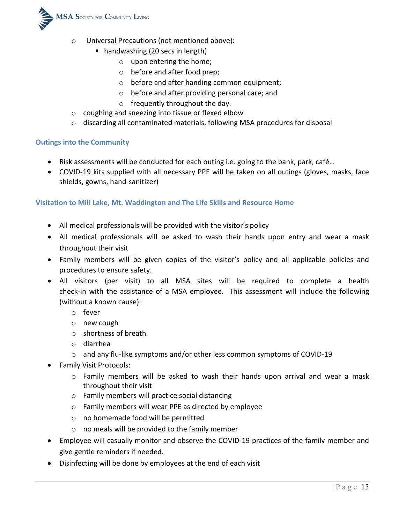

- o Universal Precautions (not mentioned above):
	- handwashing (20 secs in length)
		- o upon entering the home;
		- o before and after food prep;
		- o before and after handing common equipment;
		- o before and after providing personal care; and
		- o frequently throughout the day.
- o coughing and sneezing into tissue or flexed elbow
- $\circ$  discarding all contaminated materials, following MSA procedures for disposal

#### **Outings into the Community**

- Risk assessments will be conducted for each outing i.e. going to the bank, park, café...
- COVID-19 kits supplied with all necessary PPE will be taken on all outings (gloves, masks, face shields, gowns, hand-sanitizer)

#### **Visitation to Mill Lake, Mt. Waddington and The Life Skills and Resource Home**

- All medical professionals will be provided with the visitor's policy
- All medical professionals will be asked to wash their hands upon entry and wear a mask throughout their visit
- Family members will be given copies of the visitor's policy and all applicable policies and procedures to ensure safety.
- All visitors (per visit) to all MSA sites will be required to complete a health check-in with the assistance of a MSA employee. This assessment will include the following (without a known cause):
	- o fever
	- o new cough
	- o shortness of breath
	- o diarrhea
	- $\circ$  and any flu-like symptoms and/or other less common symptoms of COVID-19
- Family Visit Protocols:
	- o Family members will be asked to wash their hands upon arrival and wear a mask throughout their visit
	- o Family members will practice social distancing
	- o Family members will wear PPE as directed by employee
	- o no homemade food will be permitted
	- o no meals will be provided to the family member
- Employee will casually monitor and observe the COVID-19 practices of the family member and give gentle reminders if needed.
- Disinfecting will be done by employees at the end of each visit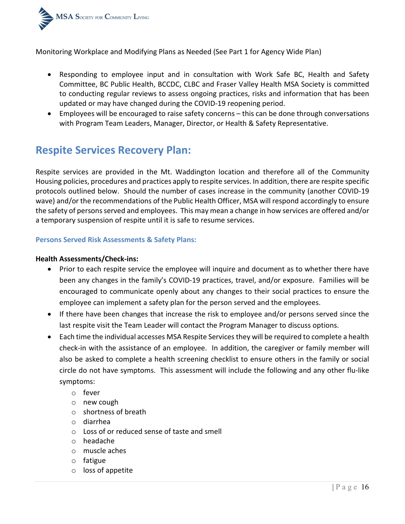

Monitoring Workplace and Modifying Plans as Needed (See Part 1 for Agency Wide Plan)

- Responding to employee input and in consultation with Work Safe BC, Health and Safety Committee, BC Public Health, BCCDC, CLBC and Fraser Valley Health MSA Society is committed to conducting regular reviews to assess ongoing practices, risks and information that has been updated or may have changed during the COVID-19 reopening period.
- Employees will be encouraged to raise safety concerns this can be done through conversations with Program Team Leaders, Manager, Director, or Health & Safety Representative.

### **Respite Services Recovery Plan:**

Respite services are provided in the Mt. Waddington location and therefore all of the Community Housing policies, procedures and practices apply to respite services. In addition, there are respite specific protocols outlined below. Should the number of cases increase in the community (another COVID-19 wave) and/or the recommendations of the Public Health Officer, MSA will respond accordingly to ensure the safety of persons served and employees. This may mean a change in how services are offered and/or a temporary suspension of respite until it is safe to resume services.

#### **Persons Served Risk Assessments & Safety Plans:**

#### **Health Assessments/Check-ins:**

- Prior to each respite service the employee will inquire and document as to whether there have been any changes in the family's COVID-19 practices, travel, and/or exposure. Families will be encouraged to communicate openly about any changes to their social practices to ensure the employee can implement a safety plan for the person served and the employees.
- If there have been changes that increase the risk to employee and/or persons served since the last respite visit the Team Leader will contact the Program Manager to discuss options.
- Each time the individual accesses MSA Respite Services they will be required to complete a health check-in with the assistance of an employee. In addition, the caregiver or family member will also be asked to complete a health screening checklist to ensure others in the family or social circle do not have symptoms. This assessment will include the following and any other flu-like symptoms:
	- o fever
	- o new cough
	- o shortness of breath
	- o diarrhea
	- o Loss of or reduced sense of taste and smell
	- o headache
	- o muscle aches
	- o fatigue
	- o loss of appetite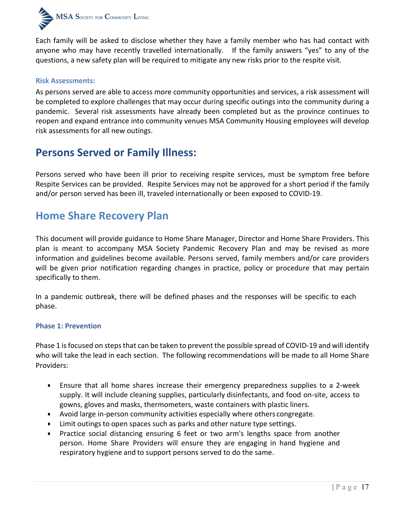

Each family will be asked to disclose whether they have a family member who has had contact with anyone who may have recently travelled internationally. If the family answers "yes" to any of the questions, a new safety plan will be required to mitigate any new risks prior to the respite visit.

#### **Risk Assessments:**

As persons served are able to access more community opportunities and services, a risk assessment will be completed to explore challenges that may occur during specific outings into the community during a pandemic. Several risk assessments have already been completed but as the province continues to reopen and expand entrance into community venues MSA Community Housing employees will develop risk assessments for all new outings.

### **Persons Served or Family Illness:**

Persons served who have been ill prior to receiving respite services, must be symptom free before Respite Services can be provided. Respite Services may not be approved for a short period if the family and/or person served has been ill, traveled internationally or been exposed to COVID-19.

### **Home Share Recovery Plan**

This document will provide guidance to Home Share Manager, Director and Home Share Providers. This plan is meant to accompany MSA Society Pandemic Recovery Plan and may be revised as more information and guidelines become available. Persons served, family members and/or care providers will be given prior notification regarding changes in practice, policy or procedure that may pertain specifically to them.

In a pandemic outbreak, there will be defined phases and the responses will be specific to each phase.

#### **Phase 1: Prevention**

Phase 1 isfocused on steps that can be taken to prevent the possible spread of COVID-19 and will identify who will take the lead in each section. The following recommendations will be made to all Home Share Providers:

- Ensure that all home shares increase their emergency preparedness supplies to a 2-week supply. It will include cleaning supplies, particularly disinfectants, and food on-site, access to gowns, gloves and masks, thermometers, waste containers with plastic liners.
- Avoid large in-person community activities especially where others congregate.
- Limit outings to open spaces such as parks and other nature type settings.
- Practice social distancing ensuring 6 feet or two arm's lengths space from another person. Home Share Providers will ensure they are engaging in hand hygiene and respiratory hygiene and to support persons served to do the same.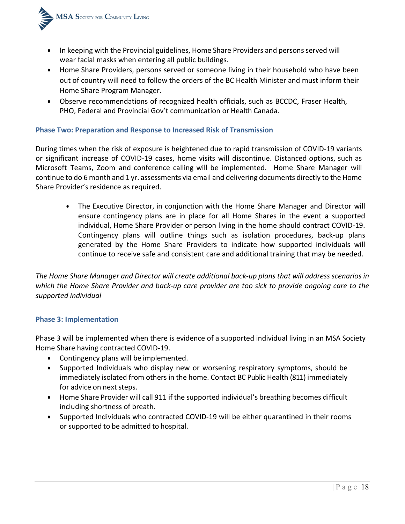

- In keeping with the Provincial guidelines, Home Share Providers and persons served will wear facial masks when entering all public buildings.
- Home Share Providers, persons served or someone living in their household who have been out of country will need to follow the orders of the BC Health Minister and must inform their Home Share Program Manager.
- Observe recommendations of recognized health officials, such as BCCDC, Fraser Health, PHO, Federal and Provincial Gov't communication or Health Canada.

#### **Phase Two: Preparation and Response to Increased Risk of Transmission**

During times when the risk of exposure is heightened due to rapid transmission of COVID-19 variants or significant increase of COVID-19 cases, home visits will discontinue. Distanced options, such as Microsoft Teams, Zoom and conference calling will be implemented. Home Share Manager will continue to do 6 month and 1 yr. assessments via email and delivering documents directly to the Home Share Provider's residence as required.

• The Executive Director, in conjunction with the Home Share Manager and Director will ensure contingency plans are in place for all Home Shares in the event a supported individual, Home Share Provider or person living in the home should contract COVID-19. Contingency plans will outline things such as isolation procedures, back-up plans generated by the Home Share Providers to indicate how supported individuals will continue to receive safe and consistent care and additional training that may be needed.

*The Home Share Manager and Director will create additional back-up plans that will address scenarios in which the Home Share Provider and back-up care provider are too sick to provide ongoing care to the supported individual* 

#### **Phase 3: Implementation**

Phase 3 will be implemented when there is evidence of a supported individual living in an MSA Society Home Share having contracted COVID-19.

- Contingency plans will be implemented.
- Supported Individuals who display new or worsening respiratory symptoms, should be immediately isolated from others in the home. Contact BC Public Health (811) immediately for advice on next steps.
- Home Share Provider will call 911 if the supported individual's breathing becomes difficult including shortness of breath.
- Supported Individuals who contracted COVID-19 will be either quarantined in their rooms or supported to be admitted to hospital.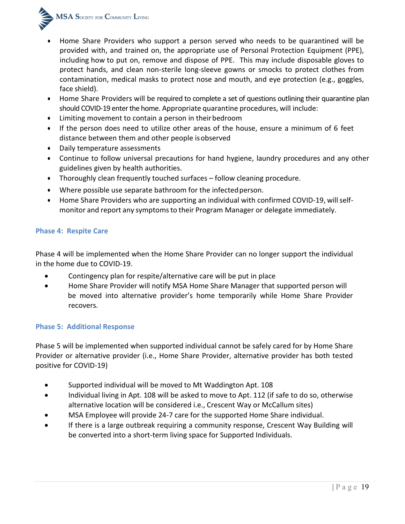

- Home Share Providers who support a person served who needs to be quarantined will be provided with, and trained on, the appropriate use of Personal Protection Equipment (PPE), including how to put on, remove and dispose of PPE. This may include disposable gloves to protect hands, and clean non-sterile long-sleeve gowns or smocks to protect clothes from contamination, medical masks to protect nose and mouth, and eye protection (e.g., goggles, face shield).
- Home Share Providers will be required to complete a set of questions outlining their quarantine plan should COVID-19 enter the home. Appropriate quarantine procedures, will include:
- Limiting movement to contain a person in their bedroom
- If the person does need to utilize other areas of the house, ensure a minimum of 6 feet distance between them and other people isobserved
- Daily temperature assessments
- Continue to follow universal precautions for hand hygiene, laundry procedures and any other guidelines given by health authorities.
- Thoroughly clean frequently touched surfaces follow cleaning procedure.
- Where possible use separate bathroom for the infectedperson.
- Home Share Providers who are supporting an individual with confirmed COVID-19, willselfmonitor and report any symptomsto their Program Manager or delegate immediately.

#### **Phase 4: Respite Care**

Phase 4 will be implemented when the Home Share Provider can no longer support the individual in the home due to COVID-19.

- Contingency plan for respite/alternative care will be put in place
- Home Share Provider will notify MSA Home Share Manager that supported person will be moved into alternative provider's home temporarily while Home Share Provider recovers.

#### **Phase 5: Additional Response**

Phase 5 will be implemented when supported individual cannot be safely cared for by Home Share Provider or alternative provider (i.e., Home Share Provider, alternative provider has both tested positive for COVID-19)

- Supported individual will be moved to Mt Waddington Apt. 108
- Individual living in Apt. 108 will be asked to move to Apt. 112 (if safe to do so, otherwise alternative location will be considered i.e., Crescent Way or McCallum sites)
- MSA Employee will provide 24-7 care for the supported Home Share individual.
- If there is a large outbreak requiring a community response, Crescent Way Building will be converted into a short-term living space for Supported Individuals.